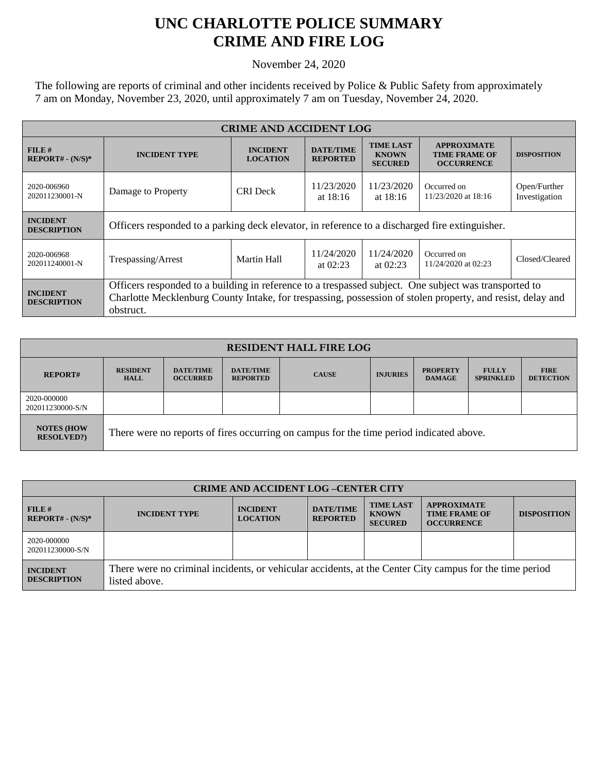## **UNC CHARLOTTE POLICE SUMMARY CRIME AND FIRE LOG**

November 24, 2020

The following are reports of criminal and other incidents received by Police & Public Safety from approximately 7 am on Monday, November 23, 2020, until approximately 7 am on Tuesday, November 24, 2020.

| <b>CRIME AND ACCIDENT LOG</b>         |                                                                                                                                                                                                                                  |                                    |                                     |                                                    |                                                                 |                               |
|---------------------------------------|----------------------------------------------------------------------------------------------------------------------------------------------------------------------------------------------------------------------------------|------------------------------------|-------------------------------------|----------------------------------------------------|-----------------------------------------------------------------|-------------------------------|
| $FILE$ #<br>$REPORT# - (N/S)*$        | <b>INCIDENT TYPE</b>                                                                                                                                                                                                             | <b>INCIDENT</b><br><b>LOCATION</b> | <b>DATE/TIME</b><br><b>REPORTED</b> | <b>TIME LAST</b><br><b>KNOWN</b><br><b>SECURED</b> | <b>APPROXIMATE</b><br><b>TIME FRAME OF</b><br><b>OCCURRENCE</b> | <b>DISPOSITION</b>            |
| 2020-006960<br>202011230001-N         | Damage to Property                                                                                                                                                                                                               | <b>CRI</b> Deck                    | 11/23/2020<br>at $18:16$            | 11/23/2020<br>at $18:16$                           | Occurred on<br>11/23/2020 at 18:16                              | Open/Further<br>Investigation |
| <b>INCIDENT</b><br><b>DESCRIPTION</b> | Officers responded to a parking deck elevator, in reference to a discharged fire extinguisher.                                                                                                                                   |                                    |                                     |                                                    |                                                                 |                               |
| 2020-006968<br>202011240001-N         | Trespassing/Arrest                                                                                                                                                                                                               | Martin Hall                        | 11/24/2020<br>at $02:23$            | 11/24/2020<br>at $02:23$                           | Occurred on<br>11/24/2020 at 02:23                              | Closed/Cleared                |
| <b>INCIDENT</b><br><b>DESCRIPTION</b> | Officers responded to a building in reference to a trespassed subject. One subject was transported to<br>Charlotte Mecklenburg County Intake, for trespassing, possession of stolen property, and resist, delay and<br>obstruct. |                                    |                                     |                                                    |                                                                 |                               |

| <b>RESIDENT HALL FIRE LOG</b>         |                                                                                         |                                     |                                     |              |                 |                                  |                                  |                                 |
|---------------------------------------|-----------------------------------------------------------------------------------------|-------------------------------------|-------------------------------------|--------------|-----------------|----------------------------------|----------------------------------|---------------------------------|
| <b>REPORT#</b>                        | <b>RESIDENT</b><br><b>HALL</b>                                                          | <b>DATE/TIME</b><br><b>OCCURRED</b> | <b>DATE/TIME</b><br><b>REPORTED</b> | <b>CAUSE</b> | <b>INJURIES</b> | <b>PROPERTY</b><br><b>DAMAGE</b> | <b>FULLY</b><br><b>SPRINKLED</b> | <b>FIRE</b><br><b>DETECTION</b> |
| 2020-000000<br>202011230000-S/N       |                                                                                         |                                     |                                     |              |                 |                                  |                                  |                                 |
| <b>NOTES (HOW</b><br><b>RESOLVED?</b> | There were no reports of fires occurring on campus for the time period indicated above. |                                     |                                     |              |                 |                                  |                                  |                                 |

| <b>CRIME AND ACCIDENT LOG-CENTER CITY</b> |                                                                                                                          |                                    |                                     |                                                    |                                                                 |                    |
|-------------------------------------------|--------------------------------------------------------------------------------------------------------------------------|------------------------------------|-------------------------------------|----------------------------------------------------|-----------------------------------------------------------------|--------------------|
| FILE#<br>$REPORT# - (N/S)*$               | <b>INCIDENT TYPE</b>                                                                                                     | <b>INCIDENT</b><br><b>LOCATION</b> | <b>DATE/TIME</b><br><b>REPORTED</b> | <b>TIME LAST</b><br><b>KNOWN</b><br><b>SECURED</b> | <b>APPROXIMATE</b><br><b>TIME FRAME OF</b><br><b>OCCURRENCE</b> | <b>DISPOSITION</b> |
| 2020-000000<br>202011230000-S/N           |                                                                                                                          |                                    |                                     |                                                    |                                                                 |                    |
| <b>INCIDENT</b><br><b>DESCRIPTION</b>     | There were no criminal incidents, or vehicular accidents, at the Center City campus for the time period<br>listed above. |                                    |                                     |                                                    |                                                                 |                    |